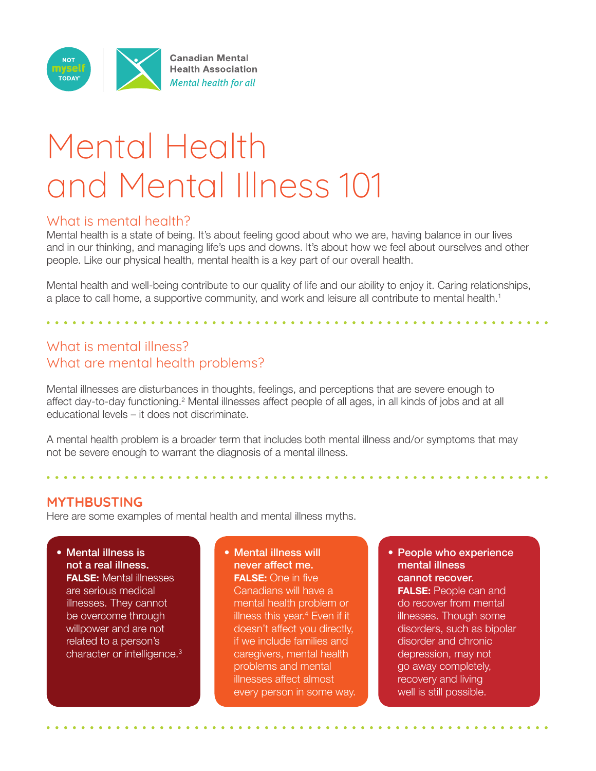

# Mental Health and Mental Illness 101

#### What is mental health?

Mental health is a state of being. It's about feeling good about who we are, having balance in our lives and in our thinking, and managing life's ups and downs. It's about how we feel about ourselves and other people. Like our physical health, mental health is a key part of our overall health.

Mental health and well-being contribute to our quality of life and our ability to enjoy it. Caring relationships, a place to call home, a supportive community, and work and leisure all contribute to mental health.<sup>1</sup>

# What is mental illness? What are mental health problems?

Mental illnesses are disturbances in thoughts, feelings, and perceptions that are severe enough to affect day-to-day functioning.<sup>2</sup> Mental illnesses affect people of all ages, in all kinds of jobs and at all educational levels – it does not discriminate.

A mental health problem is a broader term that includes both mental illness and/or symptoms that may not be severe enough to warrant the diagnosis of a mental illness.

#### **MYTHBUSTING**

Here are some examples of mental health and mental illness myths.

• Mental illness is not a real illness. **FALSE:** Mental illnesses are serious medical illnesses. They cannot be overcome through willpower and are not related to a person's character or intelligence.<sup>3</sup>

• Mental illness will never affect me. **FALSE:** One in five Canadians will have a mental health problem or illness this year.4 Even if it doesn't affect you directly, if we include families and caregivers, mental health problems and mental illnesses affect almost every person in some way. • People who experience mental illness cannot recover. **FALSE:** People can and do recover from mental illnesses. Though some disorders, such as bipolar disorder and chronic depression, may not go away completely, recovery and living well is still possible.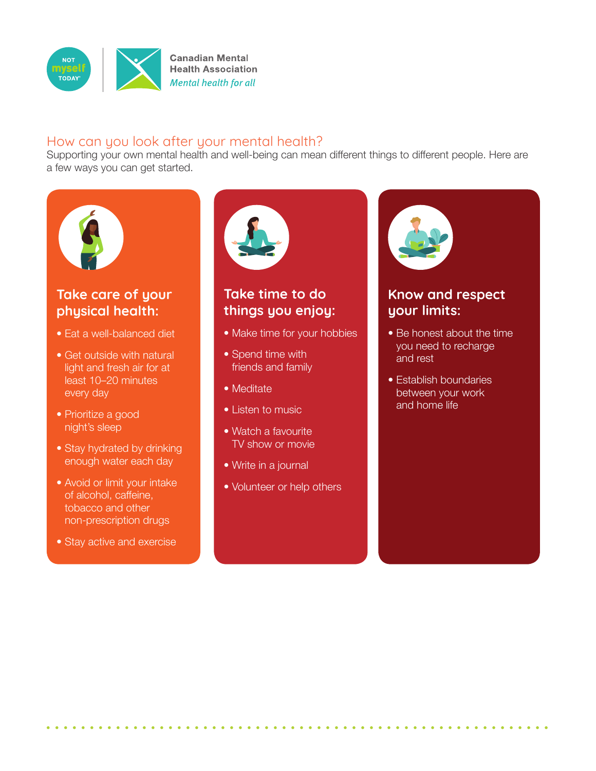

### How can you look after your mental health?

Supporting your own mental health and well-being can mean different things to different people. Here are a few ways you can get started.



## **Take care of your physical health:**

- Eat a well-balanced diet
- Get outside with natural light and fresh air for at least 10–20 minutes every day
- Prioritize a good night's sleep
- Stay hydrated by drinking enough water each day
- Avoid or limit your intake of alcohol, caffeine, tobacco and other non-prescription drugs
- Stay active and exercise



## **Take time to do things you enjoy:**

- Make time for your hobbies
- Spend time with friends and family
- Meditate
- Listen to music
- Watch a favourite TV show or movie
- Write in a journal
- Volunteer or help others



#### **Know and respect your limits:**

- Be honest about the time you need to recharge and rest
- Establish boundaries between your work and home life